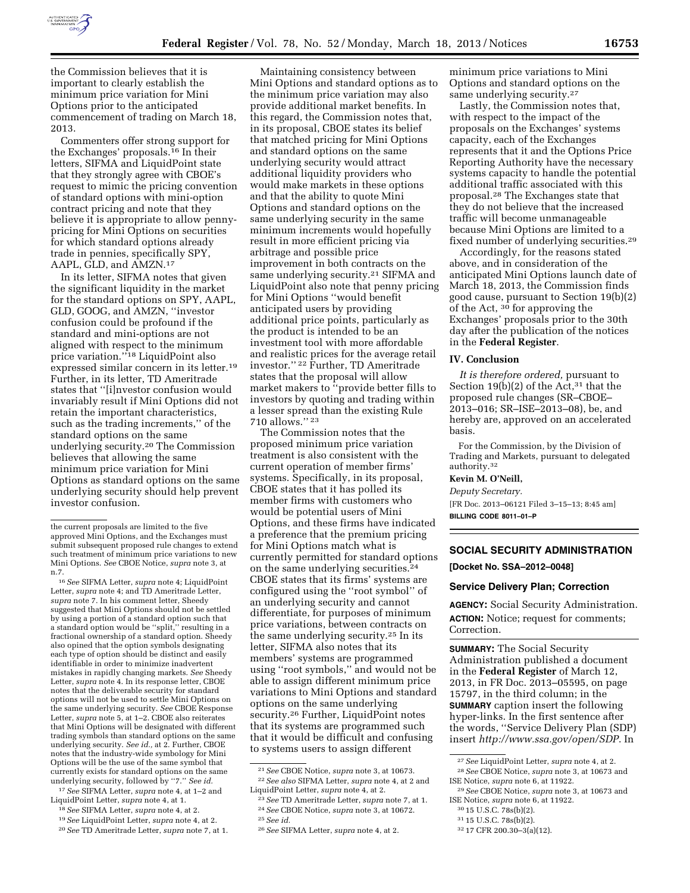

the Commission believes that it is important to clearly establish the minimum price variation for Mini Options prior to the anticipated commencement of trading on March 18, 2013.

Commenters offer strong support for the Exchanges' proposals.16 In their letters, SIFMA and LiquidPoint state that they strongly agree with CBOE's request to mimic the pricing convention of standard options with mini-option contract pricing and note that they believe it is appropriate to allow pennypricing for Mini Options on securities for which standard options already trade in pennies, specifically SPY, AAPL, GLD, and AMZN.17

In its letter, SIFMA notes that given the significant liquidity in the market for the standard options on SPY, AAPL, GLD, GOOG, and AMZN, ''investor confusion could be profound if the standard and mini-options are not aligned with respect to the minimum price variation.''18 LiquidPoint also expressed similar concern in its letter.19 Further, in its letter, TD Ameritrade states that ''[i]nvestor confusion would invariably result if Mini Options did not retain the important characteristics, such as the trading increments,'' of the standard options on the same underlying security.20 The Commission believes that allowing the same minimum price variation for Mini Options as standard options on the same underlying security should help prevent investor confusion.

16*See* SIFMA Letter, *supra* note 4; LiquidPoint Letter, *supra* note 4; and TD Ameritrade Letter, *supra* note 7. In his comment letter, Sheedy suggested that Mini Options should not be settled by using a portion of a standard option such that a standard option would be ''split,'' resulting in a fractional ownership of a standard option. Sheedy also opined that the option symbols designating each type of option should be distinct and easily identifiable in order to minimize inadvertent mistakes in rapidly changing markets. *See* Sheedy Letter, *supra* note 4. In its response letter, CBOE notes that the deliverable security for standard options will not be used to settle Mini Options on the same underlying security. *See* CBOE Response Letter, *supra* note 5, at 1–2. CBOE also reiterates that Mini Options will be designated with different trading symbols than standard options on the same underlying security. *See id.,* at 2. Further, CBOE notes that the industry-wide symbology for Mini Options will be the use of the same symbol that currently exists for standard options on the same underlying security, followed by ''7.'' *See id.* 

17*See* SIFMA Letter, *supra* note 4, at 1–2 and LiquidPoint Letter, *supra* note 4, at 1.

- 18*See* SIFMA Letter, *supra* note 4, at 2.
- 19*See* LiquidPoint Letter, *supra* note 4, at 2.
- 20*See* TD Ameritrade Letter, *supra* note 7, at 1.

Maintaining consistency between Mini Options and standard options as to the minimum price variation may also provide additional market benefits. In this regard, the Commission notes that, in its proposal, CBOE states its belief that matched pricing for Mini Options and standard options on the same underlying security would attract additional liquidity providers who would make markets in these options and that the ability to quote Mini Options and standard options on the same underlying security in the same minimum increments would hopefully result in more efficient pricing via arbitrage and possible price improvement in both contracts on the same underlying security.<sup>21</sup> SIFMA and LiquidPoint also note that penny pricing for Mini Options ''would benefit anticipated users by providing additional price points, particularly as the product is intended to be an investment tool with more affordable and realistic prices for the average retail investor.'' 22 Further, TD Ameritrade states that the proposal will allow market makers to ''provide better fills to investors by quoting and trading within a lesser spread than the existing Rule 710 allows.'' 23

The Commission notes that the proposed minimum price variation treatment is also consistent with the current operation of member firms' systems. Specifically, in its proposal, CBOE states that it has polled its member firms with customers who would be potential users of Mini Options, and these firms have indicated a preference that the premium pricing for Mini Options match what is currently permitted for standard options on the same underlying securities.24 CBOE states that its firms' systems are configured using the ''root symbol'' of an underlying security and cannot differentiate, for purposes of minimum price variations, between contracts on the same underlying security.25 In its letter, SIFMA also notes that its members' systems are programmed using ''root symbols,'' and would not be able to assign different minimum price variations to Mini Options and standard options on the same underlying security.26 Further, LiquidPoint notes that its systems are programmed such that it would be difficult and confusing to systems users to assign different

minimum price variations to Mini Options and standard options on the same underlying security.<sup>27</sup>

Lastly, the Commission notes that, with respect to the impact of the proposals on the Exchanges' systems capacity, each of the Exchanges represents that it and the Options Price Reporting Authority have the necessary systems capacity to handle the potential additional traffic associated with this proposal.28 The Exchanges state that they do not believe that the increased traffic will become unmanageable because Mini Options are limited to a fixed number of underlying securities.29

Accordingly, for the reasons stated above, and in consideration of the anticipated Mini Options launch date of March 18, 2013, the Commission finds good cause, pursuant to Section 19(b)(2) of the Act, 30 for approving the Exchanges' proposals prior to the 30th day after the publication of the notices in the **Federal Register**.

### **IV. Conclusion**

*It is therefore ordered,* pursuant to Section 19(b)(2) of the Act,  $31$  that the proposed rule changes (SR–CBOE– 2013–016; SR–ISE–2013–08), be, and hereby are, approved on an accelerated basis.

For the Commission, by the Division of Trading and Markets, pursuant to delegated authority.32

#### **Kevin M. O'Neill,**

*Deputy Secretary.*  [FR Doc. 2013–06121 Filed 3–15–13; 8:45 am] **BILLING CODE 8011–01–P** 

# **SOCIAL SECURITY ADMINISTRATION**

**[Docket No. SSA–2012–0048]** 

### **Service Delivery Plan; Correction**

**AGENCY:** Social Security Administration. **ACTION:** Notice; request for comments; Correction.

**SUMMARY:** The Social Security Administration published a document in the **Federal Register** of March 12, 2013, in FR Doc. 2013–05595, on page 15797, in the third column; in the **SUMMARY** caption insert the following hyper-links. In the first sentence after the words, ''Service Delivery Plan (SDP) insert *<http://www.ssa.gov/open/SDP>*. In

30 15 U.S.C. 78s(b)(2).

the current proposals are limited to the five approved Mini Options, and the Exchanges must submit subsequent proposed rule changes to extend such treatment of minimum price variations to new Mini Options. *See* CBOE Notice, *supra* note 3, at n.7.

<sup>21</sup>*See* CBOE Notice, *supra* note 3, at 10673. 22*See also* SIFMA Letter, *supra* note 4, at 2 and

LiquidPoint Letter, *supra* note 4, at 2. 23*See* TD Ameritrade Letter, *supra* note 7, at 1. 24*See* CBOE Notice, *supra* note 3, at 10672. 25*See id.* 

<sup>26</sup>*See* SIFMA Letter, *supra* note 4, at 2.

<sup>27</sup>*See* LiquidPoint Letter, *supra* note 4, at 2. 28*See* CBOE Notice, *supra* note 3, at 10673 and ISE Notice, *supra* note 6, at 11922.

<sup>29</sup>*See* CBOE Notice, *supra* note 3, at 10673 and ISE Notice, *supra* note 6, at 11922.

<sup>31</sup> 15 U.S.C. 78s(b)(2).

<sup>32</sup> 17 CFR 200.30–3(a)(12).